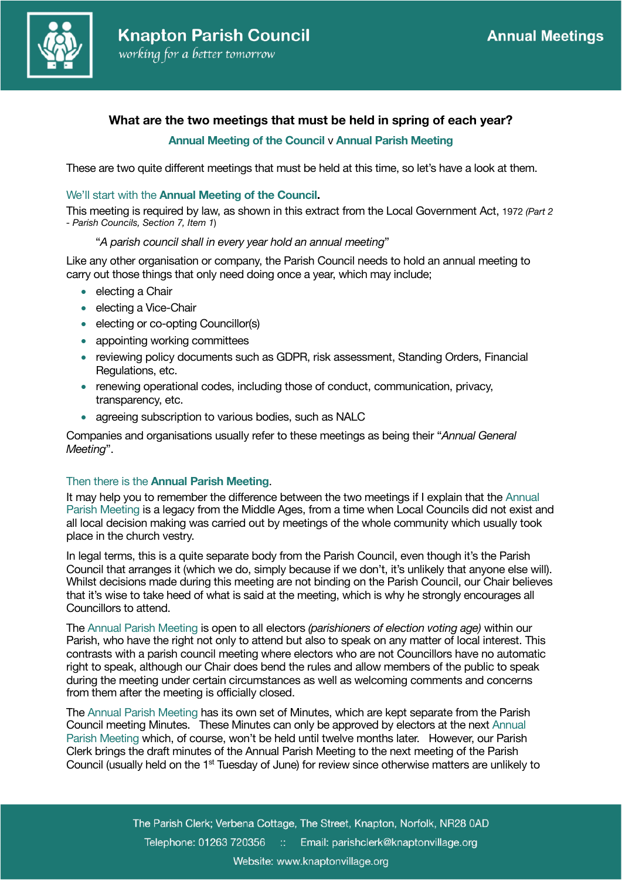

# **What are the two meetings that must be held in spring of each year?**

# **Annual Meeting of the Council** v **Annual Parish Meeting**

These are two quite different meetings that must be held at this time, so let's have a look at them.

## We'll start with the **Annual Meeting of the Council.**

This meeting is required by law, as shown in this extract from the Local Government Act, 1972 *(Part 2 - Parish Councils, Section 7, Item 1*)

#### "*A parish council shall in every year hold an annual meeting*"

Like any other organisation or company, the Parish Council needs to hold an annual meeting to carry out those things that only need doing once a year, which may include;

- electing a Chair
- electing a Vice-Chair
- electing or co-opting Councillor(s)
- appointing working committees
- reviewing policy documents such as GDPR, risk assessment, Standing Orders, Financial Regulations, etc.
- renewing operational codes, including those of conduct, communication, privacy, transparency, etc.
- agreeing subscription to various bodies, such as NALC

Companies and organisations usually refer to these meetings as being their "*Annual General Meeting*".

#### Then there is the **Annual Parish Meeting**.

It may help you to remember the difference between the two meetings if I explain that the Annual Parish Meeting is a legacy from the Middle Ages, from a time when Local Councils did not exist and all local decision making was carried out by meetings of the whole community which usually took place in the church vestry.

In legal terms, this is a quite separate body from the Parish Council, even though it's the Parish Council that arranges it (which we do, simply because if we don't, it's unlikely that anyone else will). Whilst decisions made during this meeting are not binding on the Parish Council, our Chair believes that it's wise to take heed of what is said at the meeting, which is why he strongly encourages all Councillors to attend.

The Annual Parish Meeting is open to all electors *(parishioners of election voting age)* within our Parish, who have the right not only to attend but also to speak on any matter of local interest. This contrasts with a parish council meeting where electors who are not Councillors have no automatic right to speak, although our Chair does bend the rules and allow members of the public to speak during the meeting under certain circumstances as well as welcoming comments and concerns from them after the meeting is officially closed.

The Annual Parish Meeting has its own set of Minutes, which are kept separate from the Parish Council meeting Minutes. These Minutes can only be approved by electors at the next Annual Parish Meeting which, of course, won't be held until twelve months later. However, our Parish Clerk brings the draft minutes of the Annual Parish Meeting to the next meeting of the Parish Council (usually held on the 1st Tuesday of June) for review since otherwise matters are unlikely to

> The Parish Clerk; Verbena Cottage, The Street, Knapton, Norfolk, NR28 0AD Telephone: 01263 720356 :: Email: parishclerk@knaptonvillage.org Website: www.knaptonvillage.org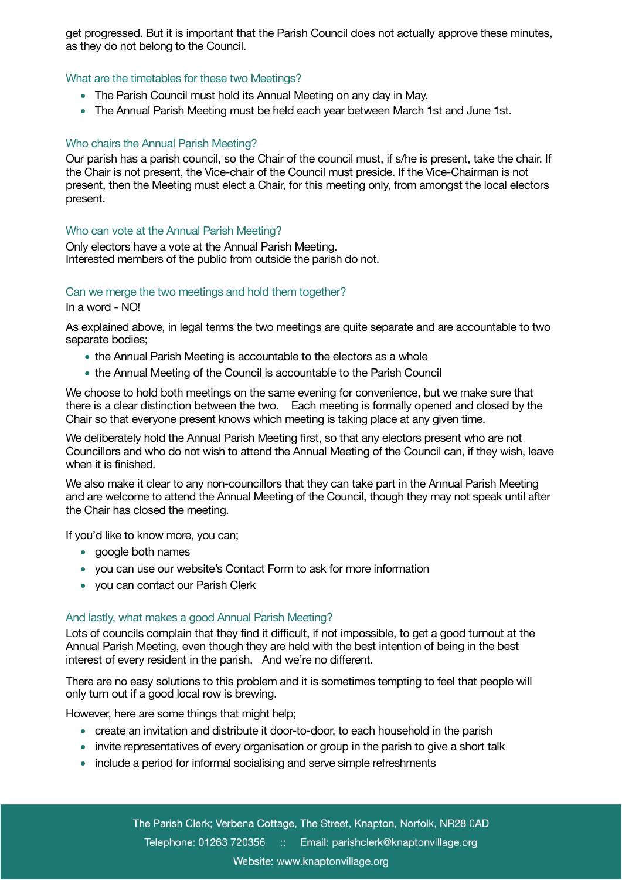get progressed. But it is important that the Parish Council does not actually approve these minutes, as they do not belong to the Council.

#### What are the timetables for these two Meetings?

- The Parish Council must hold its Annual Meeting on any day in May.
- The Annual Parish Meeting must be held each year between March 1st and June 1st.

### Who chairs the Annual Parish Meeting?

Our parish has a parish council, so the Chair of the council must, if s/he is present, take the chair. If the Chair is not present, the Vice-chair of the Council must preside. If the Vice-Chairman is not present, then the Meeting must elect a Chair, for this meeting only, from amongst the local electors present.

#### Who can vote at the Annual Parish Meeting?

Only electors have a vote at the Annual Parish Meeting. Interested members of the public from outside the parish do not.

#### Can we merge the two meetings and hold them together?

In a word - NO!

As explained above, in legal terms the two meetings are quite separate and are accountable to two separate bodies;

- the Annual Parish Meeting is accountable to the electors as a whole
- the Annual Meeting of the Council is accountable to the Parish Council

We choose to hold both meetings on the same evening for convenience, but we make sure that there is a clear distinction between the two. Each meeting is formally opened and closed by the Chair so that everyone present knows which meeting is taking place at any given time.

We deliberately hold the Annual Parish Meeting first, so that any electors present who are not Councillors and who do not wish to attend the Annual Meeting of the Council can, if they wish, leave when it is finished.

We also make it clear to any non-councillors that they can take part in the Annual Parish Meeting and are welcome to attend the Annual Meeting of the Council, though they may not speak until after the Chair has closed the meeting.

If you'd like to know more, you can;

- google both names
- you can use our website's Contact Form to ask for more information
- you can contact our Parish Clerk

#### And lastly, what makes a good Annual Parish Meeting?

Lots of councils complain that they find it difficult, if not impossible, to get a good turnout at the Annual Parish Meeting, even though they are held with the best intention of being in the best interest of every resident in the parish. And we're no different.

There are no easy solutions to this problem and it is sometimes tempting to feel that people will only turn out if a good local row is brewing.

However, here are some things that might help;

- create an invitation and distribute it door-to-door, to each household in the parish
- invite representatives of every organisation or group in the parish to give a short talk
- include a period for informal socialising and serve simple refreshments

The Parish Clerk; Verbena Cottage, The Street, Knapton, Norfolk, NR28 0AD Telephone: 01263 720356 :: Email: parishclerk@knaptonvillage.org Website: www.knaptonvillage.org